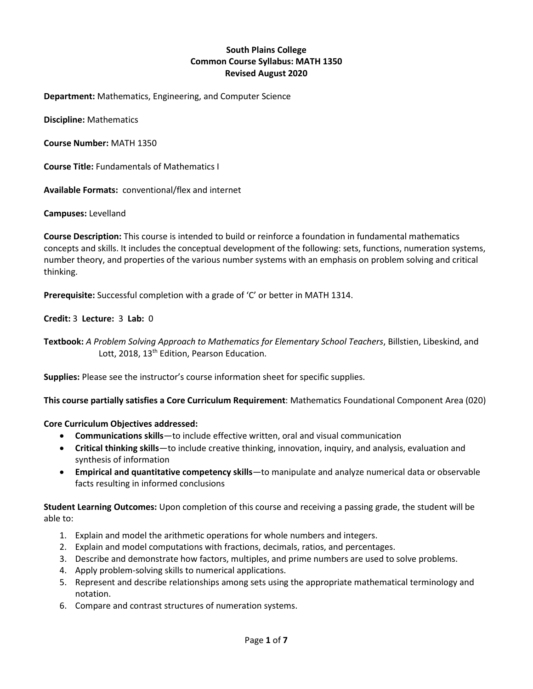# **South Plains College Common Course Syllabus: MATH 1350 Revised August 2020**

**Department:** Mathematics, Engineering, and Computer Science

**Discipline:** Mathematics

**Course Number:** MATH 1350

**Course Title:** Fundamentals of Mathematics I

**Available Formats:** conventional/flex and internet

**Campuses:** Levelland

**Course Description:** This course is intended to build or reinforce a foundation in fundamental mathematics concepts and skills. It includes the conceptual development of the following: sets, functions, numeration systems, number theory, and properties of the various number systems with an emphasis on problem solving and critical thinking.

**Prerequisite:** Successful completion with a grade of 'C' or better in MATH 1314.

## **Credit:** 3 **Lecture:** 3 **Lab:** 0

**Textbook:** *A Problem Solving Approach to Mathematics for Elementary School Teachers*, Billstien, Libeskind, and Lott, 2018, 13<sup>th</sup> Edition, Pearson Education.

**Supplies:** Please see the instructor's course information sheet for specific supplies.

**This course partially satisfies a Core Curriculum Requirement**: Mathematics Foundational Component Area (020)

**Core Curriculum Objectives addressed:**

- **Communications skills**—to include effective written, oral and visual communication
- **Critical thinking skills**—to include creative thinking, innovation, inquiry, and analysis, evaluation and synthesis of information
- **Empirical and quantitative competency skills**—to manipulate and analyze numerical data or observable facts resulting in informed conclusions

**Student Learning Outcomes:** Upon completion of this course and receiving a passing grade, the student will be able to:

- 1. Explain and model the arithmetic operations for whole numbers and integers.
- 2. Explain and model computations with fractions, decimals, ratios, and percentages.
- 3. Describe and demonstrate how factors, multiples, and prime numbers are used to solve problems.
- 4. Apply problem-solving skills to numerical applications.
- 5. Represent and describe relationships among sets using the appropriate mathematical terminology and notation.
- 6. Compare and contrast structures of numeration systems.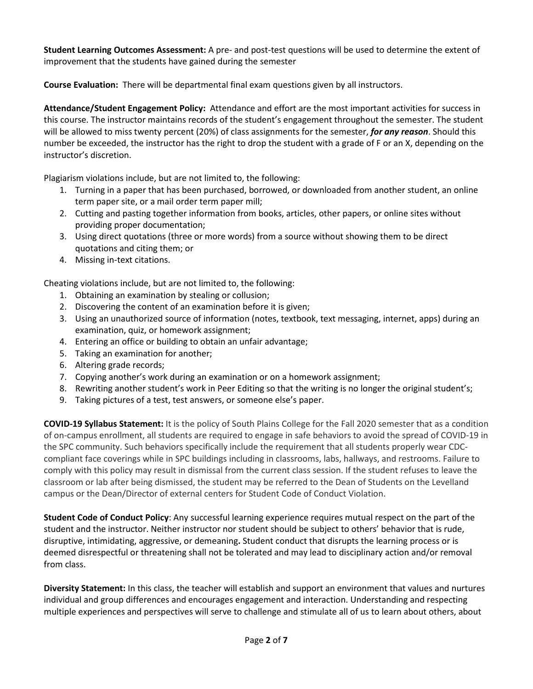**Student Learning Outcomes Assessment:** A pre- and post-test questions will be used to determine the extent of improvement that the students have gained during the semester

**Course Evaluation:** There will be departmental final exam questions given by all instructors.

**Attendance/Student Engagement Policy:** Attendance and effort are the most important activities for success in this course. The instructor maintains records of the student's engagement throughout the semester. The student will be allowed to miss twenty percent (20%) of class assignments for the semester, *for any reason*. Should this number be exceeded, the instructor has the right to drop the student with a grade of F or an X, depending on the instructor's discretion.

Plagiarism violations include, but are not limited to, the following:

- 1. Turning in a paper that has been purchased, borrowed, or downloaded from another student, an online term paper site, or a mail order term paper mill;
- 2. Cutting and pasting together information from books, articles, other papers, or online sites without providing proper documentation;
- 3. Using direct quotations (three or more words) from a source without showing them to be direct quotations and citing them; or
- 4. Missing in-text citations.

Cheating violations include, but are not limited to, the following:

- 1. Obtaining an examination by stealing or collusion;
- 2. Discovering the content of an examination before it is given;
- 3. Using an unauthorized source of information (notes, textbook, text messaging, internet, apps) during an examination, quiz, or homework assignment;
- 4. Entering an office or building to obtain an unfair advantage;
- 5. Taking an examination for another;
- 6. Altering grade records;
- 7. Copying another's work during an examination or on a homework assignment;
- 8. Rewriting another student's work in Peer Editing so that the writing is no longer the original student's;
- 9. Taking pictures of a test, test answers, or someone else's paper.

**COVID-19 Syllabus Statement:** It is the policy of South Plains College for the Fall 2020 semester that as a condition of on-campus enrollment, all students are required to engage in safe behaviors to avoid the spread of COVID-19 in the SPC community. Such behaviors specifically include the requirement that all students properly wear CDCcompliant face coverings while in SPC buildings including in classrooms, labs, hallways, and restrooms. Failure to comply with this policy may result in dismissal from the current class session. If the student refuses to leave the classroom or lab after being dismissed, the student may be referred to the Dean of Students on the Levelland campus or the Dean/Director of external centers for Student Code of Conduct Violation.

**Student Code of Conduct Policy**: Any successful learning experience requires mutual respect on the part of the student and the instructor. Neither instructor nor student should be subject to others' behavior that is rude, disruptive, intimidating, aggressive, or demeaning**.** Student conduct that disrupts the learning process or is deemed disrespectful or threatening shall not be tolerated and may lead to disciplinary action and/or removal from class.

**Diversity Statement:** In this class, the teacher will establish and support an environment that values and nurtures individual and group differences and encourages engagement and interaction. Understanding and respecting multiple experiences and perspectives will serve to challenge and stimulate all of us to learn about others, about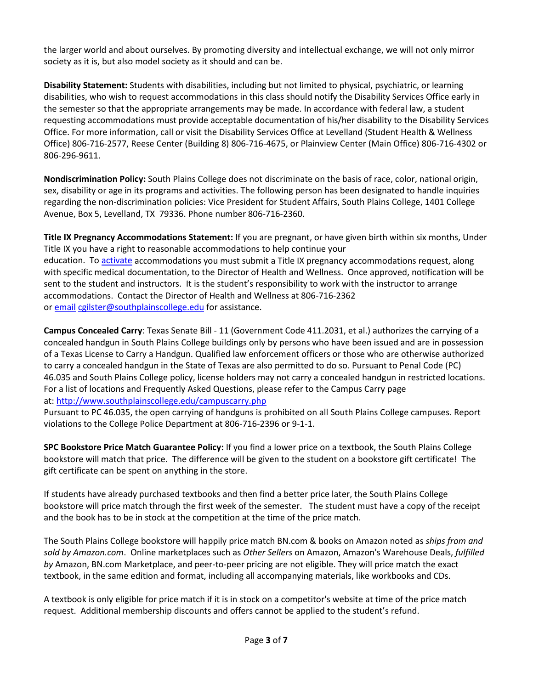the larger world and about ourselves. By promoting diversity and intellectual exchange, we will not only mirror society as it is, but also model society as it should and can be.

**Disability Statement:** Students with disabilities, including but not limited to physical, psychiatric, or learning disabilities, who wish to request accommodations in this class should notify the Disability Services Office early in the semester so that the appropriate arrangements may be made. In accordance with federal law, a student requesting accommodations must provide acceptable documentation of his/her disability to the Disability Services Office. For more information, call or visit the Disability Services Office at Levelland (Student Health & Wellness Office) 806-716-2577, Reese Center (Building 8) 806-716-4675, or Plainview Center (Main Office) 806-716-4302 or 806-296-9611.

**Nondiscrimination Policy:** South Plains College does not discriminate on the basis of race, color, national origin, sex, disability or age in its programs and activities. The following person has been designated to handle inquiries regarding the non-discrimination policies: Vice President for Student Affairs, South Plains College, 1401 College Avenue, Box 5, Levelland, TX 79336. Phone number 806-716-2360.

**Title IX Pregnancy Accommodations Statement:** If you are pregnant, or have given birth within six months, Under Title IX you have a right to reasonable accommodations to help continue your education. To [activate](http://www.southplainscollege.edu/employees/manualshandbooks/facultyhandbook/sec4.php) accommodations you must submit a Title IX pregnancy accommodations request, along with specific medical documentation, to the Director of Health and Wellness. Once approved, notification will be sent to the student and instructors. It is the student's responsibility to work with the instructor to arrange accommodations. Contact the Director of Health and Wellness at 806-716-2362 or [email](http://www.southplainscollege.edu/employees/manualshandbooks/facultyhandbook/sec4.php) [cgilster@southplainscollege.edu](mailto:cgilster@southplainscollege.edu) for assistance.

**Campus Concealed Carry**: Texas Senate Bill - 11 (Government Code 411.2031, et al.) authorizes the carrying of a concealed handgun in South Plains College buildings only by persons who have been issued and are in possession of a Texas License to Carry a Handgun. Qualified law enforcement officers or those who are otherwise authorized to carry a concealed handgun in the State of Texas are also permitted to do so. Pursuant to Penal Code (PC) 46.035 and South Plains College policy, license holders may not carry a concealed handgun in restricted locations. For a list of locations and Frequently Asked Questions, please refer to the Campus Carry page at: <http://www.southplainscollege.edu/campuscarry.php>

Pursuant to PC 46.035, the open carrying of handguns is prohibited on all South Plains College campuses. Report violations to the College Police Department at 806-716-2396 or 9-1-1.

**SPC Bookstore Price Match Guarantee Policy:** If you find a lower price on a textbook, the South Plains College bookstore will match that price. The difference will be given to the student on a bookstore gift certificate! The gift certificate can be spent on anything in the store.

If students have already purchased textbooks and then find a better price later, the South Plains College bookstore will price match through the first week of the semester. The student must have a copy of the receipt and the book has to be in stock at the competition at the time of the price match.

The South Plains College bookstore will happily price match BN.com & books on Amazon noted as *ships from and sold by Amazon.com*. Online marketplaces such as *Other Sellers* on Amazon, Amazon's Warehouse Deals, *fulfilled by* Amazon, BN.com Marketplace, and peer-to-peer pricing are not eligible. They will price match the exact textbook, in the same edition and format, including all accompanying materials, like workbooks and CDs.

A textbook is only eligible for price match if it is in stock on a competitor's website at time of the price match request. Additional membership discounts and offers cannot be applied to the student's refund.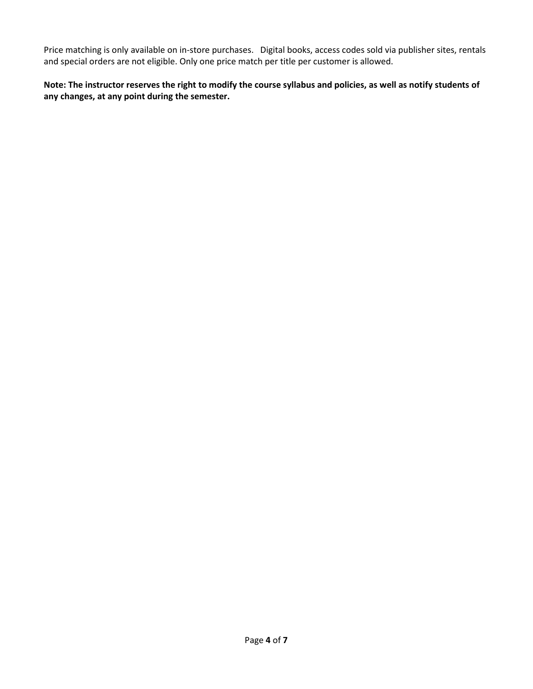Price matching is only available on in-store purchases. Digital books, access codes sold via publisher sites, rentals and special orders are not eligible. Only one price match per title per customer is allowed.

**Note: The instructor reserves the right to modify the course syllabus and policies, as well as notify students of any changes, at any point during the semester.**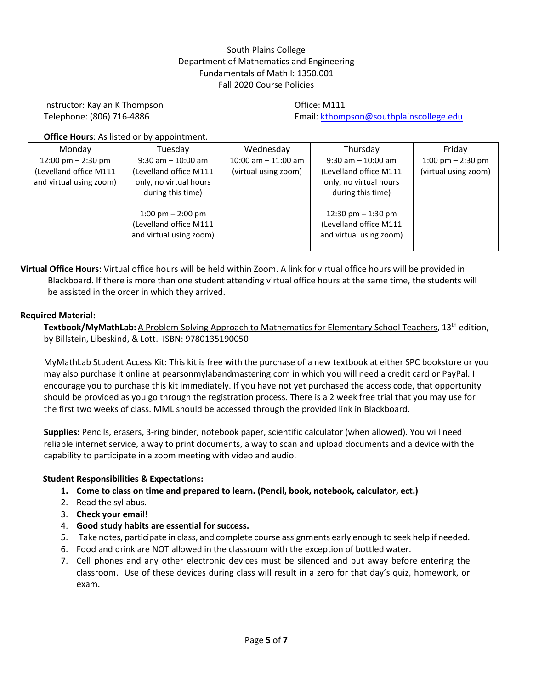# South Plains College Department of Mathematics and Engineering Fundamentals of Math I: 1350.001 Fall 2020 Course Policies

# Instructor: Kaylan K Thompson **Contact Contact Contact Contact Contact Contact Contact Contact Contact Contact Contact Contact Contact Contact Contact Contact Contact Contact Contact Contact Contact Contact Contact Contact**

Telephone: (806) 716-4886 Email: [kthompson@southplainscollege.edu](mailto:kthompson@southplainscollege.edu)

**Office Hours**: As listed or by appointment.

| Monday                  | Tuesday                 | Wednesday<br>Thursday  |                         | Friday               |
|-------------------------|-------------------------|------------------------|-------------------------|----------------------|
| 12:00 pm $-$ 2:30 pm    | $9:30$ am $-10:00$ am   | $10:00$ am $-11:00$ am | $9:30$ am $-10:00$ am   | 1:00 pm $-$ 2:30 pm  |
| (Levelland office M111  | (Levelland office M111  | (virtual using zoom)   | (Levelland office M111  | (virtual using zoom) |
| and virtual using zoom) | only, no virtual hours  |                        | only, no virtual hours  |                      |
|                         | during this time)       |                        | during this time)       |                      |
|                         |                         |                        |                         |                      |
|                         | 1:00 pm $-$ 2:00 pm     |                        | 12:30 pm $-$ 1:30 pm    |                      |
|                         | (Levelland office M111  |                        | (Levelland office M111  |                      |
|                         | and virtual using zoom) |                        | and virtual using zoom) |                      |
|                         |                         |                        |                         |                      |

**Virtual Office Hours:** Virtual office hours will be held within Zoom. A link for virtual office hours will be provided in Blackboard. If there is more than one student attending virtual office hours at the same time, the students will be assisted in the order in which they arrived.

## **Required Material:**

**Textbook/MyMathLab:** A Problem Solving Approach to Mathematics for Elementary School Teachers, 13th edition, by Billstein, Libeskind, & Lott. ISBN: 9780135190050

MyMathLab Student Access Kit: This kit is free with the purchase of a new textbook at either SPC bookstore or you may also purchase it online at pearsonmylabandmastering.com in which you will need a credit card or PayPal. I encourage you to purchase this kit immediately. If you have not yet purchased the access code, that opportunity should be provided as you go through the registration process. There is a 2 week free trial that you may use for the first two weeks of class. MML should be accessed through the provided link in Blackboard.

**Supplies:** Pencils, erasers, 3-ring binder, notebook paper, scientific calculator (when allowed). You will need reliable internet service, a way to print documents, a way to scan and upload documents and a device with the capability to participate in a zoom meeting with video and audio.

### **Student Responsibilities & Expectations:**

- **1. Come to class on time and prepared to learn. (Pencil, book, notebook, calculator, ect.)**
- 2. Read the syllabus.
- 3. **Check your email!**
- 4. **Good study habits are essential for success.**
- 5. Take notes, participate in class, and complete course assignments early enough to seek help if needed.
- 6. Food and drink are NOT allowed in the classroom with the exception of bottled water.
- 7. Cell phones and any other electronic devices must be silenced and put away before entering the classroom. Use of these devices during class will result in a zero for that day's quiz, homework, or exam.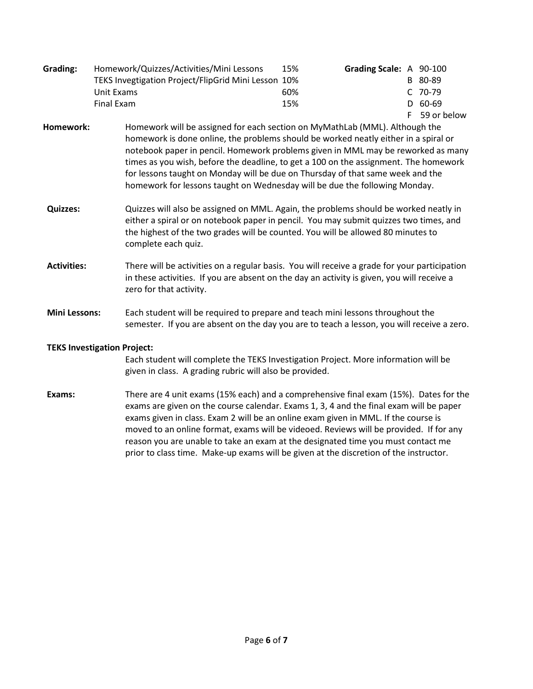| Grading: | Homework/Quizzes/Activities/Mini Lessons            | 15% | Grading Scale: A 90-100 |               |
|----------|-----------------------------------------------------|-----|-------------------------|---------------|
|          | TEKS Invegtigation Project/FlipGrid Mini Lesson 10% |     |                         | B 80-89       |
|          | Unit Exams                                          | 60% |                         | C 70-79       |
|          | Final Exam                                          | 15% |                         | $D$ 60-69     |
|          |                                                     |     |                         | F 59 or below |

**Homework:** Homework will be assigned for each section on MyMathLab (MML). Although the homework is done online, the problems should be worked neatly either in a spiral or notebook paper in pencil. Homework problems given in MML may be reworked as many times as you wish, before the deadline, to get a 100 on the assignment. The homework for lessons taught on Monday will be due on Thursday of that same week and the homework for lessons taught on Wednesday will be due the following Monday.

- **Quizzes:** Quizzes will also be assigned on MML. Again, the problems should be worked neatly in either a spiral or on notebook paper in pencil. You may submit quizzes two times, and the highest of the two grades will be counted. You will be allowed 80 minutes to complete each quiz.
- **Activities:** There will be activities on a regular basis. You will receive a grade for your participation in these activities. If you are absent on the day an activity is given, you will receive a zero for that activity.
- **Mini Lessons:** Each student will be required to prepare and teach mini lessons throughout the semester. If you are absent on the day you are to teach a lesson, you will receive a zero.

# **TEKS Investigation Project:**

Each student will complete the TEKS Investigation Project. More information will be given in class. A grading rubric will also be provided.

**Exams:** There are 4 unit exams (15% each) and a comprehensive final exam (15%). Dates for the exams are given on the course calendar. Exams 1, 3, 4 and the final exam will be paper exams given in class. Exam 2 will be an online exam given in MML. If the course is moved to an online format, exams will be videoed. Reviews will be provided. If for any reason you are unable to take an exam at the designated time you must contact me prior to class time. Make-up exams will be given at the discretion of the instructor.